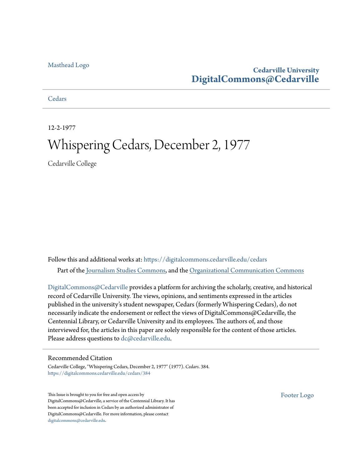### [Masthead Logo](http://www.cedarville.edu/?utm_source=digitalcommons.cedarville.edu%2Fcedars%2F384&utm_medium=PDF&utm_campaign=PDFCoverPages)

## **Cedarville University [DigitalCommons@Cedarville](https://digitalcommons.cedarville.edu?utm_source=digitalcommons.cedarville.edu%2Fcedars%2F384&utm_medium=PDF&utm_campaign=PDFCoverPages)**

**[Cedars](https://digitalcommons.cedarville.edu/cedars?utm_source=digitalcommons.cedarville.edu%2Fcedars%2F384&utm_medium=PDF&utm_campaign=PDFCoverPages)** 

12-2-1977

## Whispering Cedars, December 2, 1977

Cedarville College

Follow this and additional works at: [https://digitalcommons.cedarville.edu/cedars](https://digitalcommons.cedarville.edu/cedars?utm_source=digitalcommons.cedarville.edu%2Fcedars%2F384&utm_medium=PDF&utm_campaign=PDFCoverPages) Part of the [Journalism Studies Commons](http://network.bepress.com/hgg/discipline/333?utm_source=digitalcommons.cedarville.edu%2Fcedars%2F384&utm_medium=PDF&utm_campaign=PDFCoverPages), and the [Organizational Communication Commons](http://network.bepress.com/hgg/discipline/335?utm_source=digitalcommons.cedarville.edu%2Fcedars%2F384&utm_medium=PDF&utm_campaign=PDFCoverPages)

[DigitalCommons@Cedarville](http://digitalcommons.cedarville.edu/) provides a platform for archiving the scholarly, creative, and historical record of Cedarville University. The views, opinions, and sentiments expressed in the articles published in the university's student newspaper, Cedars (formerly Whispering Cedars), do not necessarily indicate the endorsement or reflect the views of DigitalCommons@Cedarville, the Centennial Library, or Cedarville University and its employees. The authors of, and those interviewed for, the articles in this paper are solely responsible for the content of those articles. Please address questions to [dc@cedarville.edu.](mailto:dc@cedarville.edu)

#### Recommended Citation

Cedarville College, "Whispering Cedars, December 2, 1977" (1977). *Cedars*. 384. [https://digitalcommons.cedarville.edu/cedars/384](https://digitalcommons.cedarville.edu/cedars/384?utm_source=digitalcommons.cedarville.edu%2Fcedars%2F384&utm_medium=PDF&utm_campaign=PDFCoverPages)

This Issue is brought to you for free and open access by DigitalCommons@Cedarville, a service of the Centennial Library. It has been accepted for inclusion in Cedars by an authorized administrator of DigitalCommons@Cedarville. For more information, please contact [digitalcommons@cedarville.edu](mailto:digitalcommons@cedarville.edu).

[Footer Logo](http://www.cedarville.edu/Academics/Library.aspx?utm_source=digitalcommons.cedarville.edu%2Fcedars%2F384&utm_medium=PDF&utm_campaign=PDFCoverPages)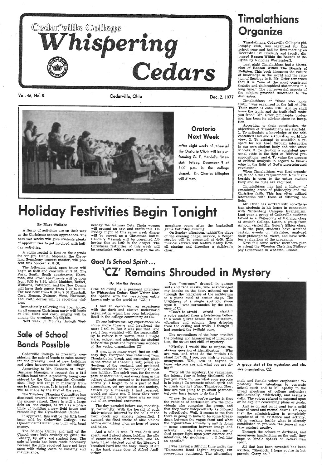

Vol. 46, No. 8 Cedarville, Ohio

#### By Mary Wallace

<sup>A</sup>flurry of activities are on their way as the Christmas season approaches. The next two weeks will give students plenty of opportunities to get involved with holiday activities.

<sup>A</sup>violin recital is first on the agenda for tonight. Daniel Majeske, the Cleve land Symphony concert master, will present this concert at 8:00.

## *Goal Is School Spirit* ... 'CZ' Remains Shrouded in Mystery

## Timalathians Organize

Timalathians, Cedarville College's phi- losophy club, has organized for this December 1st. Students and faculty discussed Reason Within the Bounds of Religion by Nicholas Worterstorff.

Last night Timalathians had a discussion of Reason Within The Bounds of Religion. This book discusses the nature of knowledge in the world and the relation of theology to it. Mr. Grier remarked that it is "one of the most consistent theistic and philosophical statements in <sup>a</sup> long time." The controversial aspects of the subject provided substance to the discussion.

nesday the Gamma Zeta Theta women will present an arts and crafts fair. On Friday night of this same week dinner will be served as a Christmas buffet. Handel's Messiah will be presented fol lowing this at 8: 00 in the chapel. The Christmas festivities of this week will Christmas festivities of this week will be concluded with a carol sing in the at-

game Saturday evening.<br>
On Sunday afternoon, taking the place<br>
of the evening chapel service, a Vesper<br>
service will be presented at 4:00. This<br>
musical service will feature Kathy Howell singing and directing a children's choir.

Timalathians has had a history of examining areas of philosophy and the Christian faith. This has often utilized interaction with those of differing be-<br>liefs.

## Oratorio Next Week

Dec. 2, 1977

After eight weeks of rehearsal the Oratorio Choir will be performing G. F. Handel's "Messiah" Friday, December 9 at 8:00 p.m. in the college chapel. Dr. Charles Ellington will direct.

mosphere room after the basketball

Timalathians, or "those who honor truth," was organized in the fall of 1970. Their motto is· John 8: 32: And ye shall know the truth, and the truth shall make you free." Mr. Grier, philosophy professor, has been its advisor since its incep- tion.

 The following night, open house will begin at 6:30 and conclude at 9:30. The Park, South, South apartments, Harri-<br>man, and Grosh apartments will be open from  $6:30$  to  $7:30$ , while Maddox, Bethel, Williams, Patterson, and the New Dorms will have their guests from 7:30 to 8:30. The last hour from 8:30 to 9:30 Marshall, Carr, Rogers, Palmer, West, Hartman, and Faith dorms will be receiving visitors.

 According to their constitution, the objectives of Timalathians are fourfold: 1. To articulate a knowledge of the selfcontained God and a Christian world life view, 2. To attempt to establish a rein our own student body and with other schools; 3. To develop a consistent per-<br>sonal ethic in the light of Biblical presuppositions; and 4. To value the process of critical analysis in regard to knowl edge in the light of God's inscripturated revelation.

When Timalathians was first organized, it had a dues requirement. Now membership is open to the entire student body and no dues are required.<br>Timalathians has had a history of

The Trustees' Planning Committee has<br>discussed several alternatives for using the money raised. There is still a large debt on the chapel, as well as a possibility of building a new field house and remodeling the Gym-Student Center.

<sup>I</sup>had an encounter, an experience with the dark and elusive underworld organization which has been introducing itself in the college community as CZ.

Mr. Grier has worked with non-Christian students in his home in connection with Wittenberg Campus Evangelism. Last year <sup>a</sup>group of Cedarville students talked in a Philosophy of Religion class at Antioch College. Later, a group from Antioch visited Mr. Grier's Ethics class.

It was, in so many ways, just an ordinary day. Everyone was returning from Thanksgiving break and resuming place<br>in the world of academia with jovial re-<br>flections of the weekend and projected<br>future ecstasies of the upcoming Christmas holiday. The spirit was, for the most college climate seemed to be functioning normally. I longed to be a part of that atmosphere, yet my tension and anxiety, caused by a message I had received, would not allow me. I knew they were watching me. I knew there was no way out of an eventual encounter.

In the past, students have watched certain events on television, analyzed their philosophical views, and have written evaluations of the programs,.

The day paraded before me, mocking-<br>ly, torturingly. With the herald of each thirty-minute interval by the bells of the town clock my anxiety intensified. <sup>I</sup> awaited the final stroke of nine o'clock before embarking upon an hour of terror and tales.

Next fall some active members plan to attend the Wheaton Christian Philosophy Conference in Wheaton, Illinois.

# liday Festivities Begin Tonight

Two "yes-men" dressed in garage suits and face masks, who acknowleged my knocks on the door, ushered me in through the blackness of the auditorium to a piano stool at center stage. The brightness of a single spotlight shone upon it. I was surrounded by the presence of CZ.

"Don't be afraid — afraid — afraid," voice quaked from a boisterous bellow to a weak quiver across the auditorium,<br>vibrating and echoing, then dripping from the ceiling and walls. I thought I had reached the twilight zone.

The proceedings of the hour entailed<br>the probing and hammering of interrogation, the sweat and chill of mystery.



Cedarville College is presently con-<br>sidering the sale of bonds to raise money<br>for the pressing need of new buildings<br>and other improvements for the college.

"Firstly, I would like to impose the obvious question of identification  $-$  Who are you, and what do the initials CZ stand for? Oh, I see, you wish to remain. anonymous. Well, how is anyone to know who you are and what you are doing?"

Immediately following this open house, an all campus Christmas party will begin at 9:30. Skits and carol singing will be among the evenings highlights.

Next week on Monday through Wed-

## Sale of School Bonds Possible

According to Mr. Kenneth St. Clair, Business Manager, a request for a \$1.5 sidered by the Ohio Securities Commission. They will range in maturity from one to fifteen years. It is hoped a decision will be made by the first of the year.

> And so on and on it went for a solid hour of vocal and mental drama. CZ says that the administration is completely cognizant of its existence and activity. CZ is working beside what is already established to promote the general war- fare against apathy.

If approved, this will be the fifth bond issue sold by Cedarville College. The Gym-Student Center was built with bond money.

The Science Center and half of the Chapel were built entirely by gifts; the Library, by gifts and student fees. The<br>sale of bonds has been made necessary because the gifts received have not kept pace with rising costs of building and maintenance.

#### By Martha Sprano

(The following is a personal interview by Whispering Cedars Staff Writer Martha Sprano with the mysterious entity known only to the world as "CZ.")

No one belives me. My experiences become more bizarre and irrational the more I tell it. But it was just that; and yet, I feel weighted with the responsibility to reduce it to words, that I might warn, exhort, and admonish the student body of the great and mysterious wonders

#### of the veiled organization CZ.

And a tale it was. It was dark and silent, and I stood alone, holding the pile of commentaries, dictionaries, and atof commentaries, dictionaries, and at-<br>lases I had checked out of the library. I<br>breathed hard into the hazy, dimly lit air at the back stage door of Alford Auditorium.

"Why all the mystery, the vagueness, the intense fear of being disclosed? Can is in being? To promote school spirit and<br>to crush apathy? Fine. Thank-you. Now, how are you going to go about permeating your hazy image to do that?"

"I see. So what you're saying is that the vehicles of enthusiasm are the individuals who comprise the group, and that they work independently as opposed to collectively. Well, it seems to me that there is going to have to be some breakdown between the vague front and what the organization actually is and is doing<br>
— some connection between image and activity  $\dots$  oh, I see, you want me to shed proper light upon your essence and intentions. My goodness . . . I feel like an apostle."

I was having a difficult time under the "Damascus Road Light" anyway, but proceedings continued. The alternating



A group shot of the mysterious and elusive organization, CZ.

male and female voices emphasized re peatedly their intentions to generate<br>school spirit and to kill apathy in the broad spectrum of college activities; scholastically, athletically, and aesthetically. The voices refused to expound upon or be explicit concerning plans or goals.

Through the echoes in darkness, and anonymous handwriting on the wall, they hope to kindle sparks of Cedarvillian spirit.

All that has been revea1ed has been written. "Sherlock, I hope you're in hot pursuit. Carry on."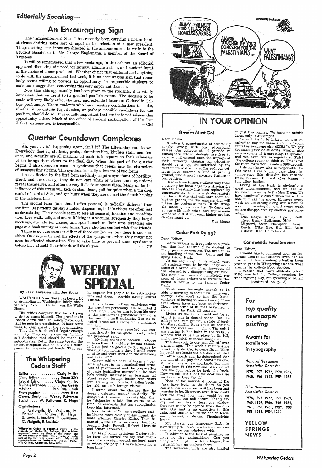## *Editorially Speaking—*

## An Encouraging Sign

The-"Announcement Sheet" has recently been carrying a notice to all students desiring some sort of input in the selection of a new president. Those desiring such input are directed in the announcement to write to the Strident Senate, or to Mr. George Englemann, a member of the Board of Trustees.

It will be remembered that a few weeks ago, in this column, an editorial appeared discussing the need for faculty, administration, and student input in the choice of a new president. Whether or not that editorial had anything to do with the announcement last week, it is an encouraging sign that somebody seems willing to provide an opportunity for responsible students to make some suggestions concerning this very important decision.<br>Now that this opportunity has been given to the students, it is vitally

important that we use it to its greatest possible extent. The decision to be made will very likely affect the near and extended future of Cedarville Colwhether it be criteria for selection, or perhaps possible candidates for the position, should do so. It is equally important that students not misuse this opportunity either. Much of the effect of student participation will be lost if that participation is irresponsible.  $-CM$ 

## Quarter Countdown Complexes

Ah, yes ... it's happening again, isn't it? The fifteen-day countdown. Everybody does it; students, profs, administration, kitchen staff, maintenwhich brings them closer to the final day. When this part of the quarter begins, I also observe a common syndrome that creeps into the characters of unsuspecting victims. This syndrome usually takes one of two forms. Those

greed, and discourtesy; they do not care when or where these symptoms<br>reveal themselves, and often do very little to suppress them. Many under the<br>influence of this strain will kick or slam doors, yell for quiet when a pin can't be heard at 8:01, and get huffy when they are denied the fourth helping in the cafeteria line.'

The second form (one that I often possess) is radically different from the first. Its patients display a milder disposition, but its effects are often just as devastating. These people seem to lose all sense of direction and coordination; they walk, talk, and act as if living in a vacuum. Frequently they forget meetings, are late for classes, and spend much of their time rereading one page of a book twenty or more times. They also lose contact with close friends.<br>There is no sure cure for either of these syndromes, but there is one sure

effect. Others greatly feel the effects of the symptoms, when they might not even be affected themselves. Try to take time to prevent these syndromes before they attack! Your friends will thank you. -CP



WASHINGTON - There has been a lot of grumbling in Washington lately about the way President Carter runs the White House.

His critics complain that he is trying<br>to do too much himself. The president is loaded down with so much paperwork that he puts in a prodigious, 80-hour work week to keep ahead of the accumulation.

| Editor                         | Craig Miller                  |
|--------------------------------|-------------------------------|
| Copy Editor  Suzan Zink        |                               |
| Layout Editor                  | <b>Claire Phillips</b>        |
| <b>Business Manager</b>        | Dan Green                     |
| Advisor                        | Mr. Ron Grosh                 |
| Photographer  Amy Ross         |                               |
| Corres. Sec'y  Wendy Patterson |                               |
|                                | Typist  W. Patterson, K. Haga |

#### Contributors:

I have taken up these criticisms with<br>the president personally. He admitted it is not uncommon for him to keep his nose to the presidential grindstone from 6 in the morning until midnight. But he in sisted it was not a chore but a challenge for him.

Carter told me that he takes a "per-<br>sonal interest in the organizational struc-<br>ture of government and the preparation of basic legislative proposals." He said<br>he's vitally interested in learning all<br>about every foreign leader who visits him. He is given detailed briefing books, he said, on each foreign visitor.

<sup>I</sup>asked · about the charges that he doesn't · delegate enough authority. He disagreed. I insisted, to quote him, that he "delegates a lot." But at the same time, he demands that his subordinates keep him informed.

Next to his wife, the president said,<br>he listens most closely to his friend, Atlanta attorney Charles Kirbo. Then he named White House advisers Hamilton Jordan, Jody Powell, Robert Lipshutz and Stuart Eizenstat. ·

On basic policy decisions, Carter said,<br>he turns for advice "to my staff memhers who are right around me here, most of whom are people I have known for <sup>a</sup> long time."

By Jack Anderson wiih Joe Spear

They claim he doesn't delegate enough authority. They say he reserves for himself decisions that should be made by subordinates. Yet in the same breath, the critics complain that he leaves too much power in inexperienced hands. They say



## The Whispering Cedars Staff

136 students were to be the lucky occupants of a brand new dorm. However, all 136 returned to a disappointing situation. The new dorm was not completed. For most of these unfortunate students this meant a return to the famous Cedar Park.

Living at the Park would not be so bad if it was in decent shape. But the college has let it get into a state of terrible disrepair.The Park could be described in one short word — slum. The unit I am staying in has holes in the walls, a window that is held in place by tin foil,<br>and every kind of insect imaginable.<br>The doorknob to our unit fell off over

T. Galbraith, M. Wallace, M. Sprano, C. Lofgren, K. Haga, S. Levin, L. Burchett, F. Greetham, C. Vielguth, R. Luedeke

Whispering Cedars is published weekly by the students of Cedarville College. The opinions expressed herein are those of the writers and do not necessarily reflect the attitudes or opinions of the faculty or administration.

to have them. I could get by and probab-<br>ly have just as good a public image by<br>working four hours a day. I could come in at 10 and work until 3 in the afternoon<br>and take off."

*Pagel* 

he expects his people to be self-motivators and doesn't provide strong central control.

To add insult to injury, we are re quired to pay the same amount of room rental as everyone else (\$205.00). We pay the same price as students living in nice and yes even fire extinguishers. Fair? The college seems to think so. This is not<br>the room for which I made a \$200 deposit.

The White House recorded our conversation. So let me quote directly what the president said:

" $My$  long hours are because I choose<br>have them. I could get by and probab-

I do not know who is responsible for this mess. I really don't care whose incompetence this situation has resulted from, because I'm not after blame I'm after justice.

I realize that most students (about 97%) vacated the College premises by Thanksgiving Day, but speaking on behalf ( continued on p. 3)

> YELLOW SPRINGS **NEWS**



## IN YOUR OPINION

### Grades Must Go!

Dear Editor,

 $\sim \omega_{\rm eq}$  .

Grading is symptomatic of something deeply wrong with our educational values. Our colleges should provide an atmosphere where students are free to their curiosity. Gaining an education<br>should be a joy, characterized by the<br>excitement of discovery. Instead, our col-<br>leges have become a kind of proving<br>ground, whose most pervasive feature is competition.

Grades have turned students way from a striving for knowledge to a striving for<br>success. Creativity has been replaced by conformity as students seek desperately for the attitudes that will earn them the highest grades, for the answers that will <sup>p</sup>lease the professor most. In the strug gle, integrity has been lost. Students are at war with each other, and any maneuver is valid if it will earn higher grades. Grades must go.

Don Moses

### Cedar Park Dying?

Dear Editor,

We're writing with regards to a prob-<br>lem that has become quite evident to<br>many people on campus. The problem is the handling of the New Dorms and the dying Cedar Park.<br>At the beginning of this school year,

Some were fortunate enough to be able to move up to their new home very shortly. (We won't go into the incon venience of having to move twice.) However others have not been so fortunate. There are some of us that have had to remain at the Park all quarter.

<sup>a</sup>month ago. (This week a maintenance man finally decided to come fix *it.* When he could not locate the old doorknob that fell off a month ago, he determined that our unit should pay for a brand new one. We now have a new doorknob, but none of our keys fit this new one. We couldn't lock the door before for lack of a knob. Now we still can't lock the door because we have no keys for it.)

None of the individual rooms at the Park have locks on the doors. So you can see how secure our unit has been and remains to be. However, even if we could lock the front door that would by no means make 'our unit secure. Nearly every unit here has at least one window that can easily be opened from the out side. Our unit is no exception to this rule. And this is where we had to leave our possessions during Thanksgiving break.

Mr. Harris, our. temporary R.A., is now trying to locate sticks that we can use to brace our windows with.

have no fire extinguishers. Can you imagine? The place with the biggest fire potential has no extinguishers.

The seventeen units are also limited

to just two phones. We have no outside lines, only intracampus.

Living at the Park is obviously <sup>a</sup> great inconvenience, and we are all anxious to move up to the New Dorm. We have continually asked when we will be able to make the move. However every week we are strung along with a new lie about our moving date, and every week we are disappointed by another postponement.

Dan Basye, Randy Cogwin, Keith Rice, Benny Belleman, Mike Mignard, Steve Thompson, Dave Davis, Mike Rae, Bill Hill, Allen Gilbert, Ken Churchward.

#### Commends food Service

Dear Editor,

<sup>I</sup>would like to comment upon an important area to all students' lives, and an area which has received attention from year to year in Whispering Cedars. That area is the college Food Service.



excellence

## in typography

*National Newspaper Association Contests:* 

1975, 1973, 1972, 1970, 1969, 1965, 1963, 1962, 1959, 1958

#### *Ohio Newspaper Association Contests:*

1975, \_1973, 1\_972, 1970, 1969, 1968, 1967, 1966, 1965, 1964, 1963, 1962, 1961, 1959, 1958, 1956, 1955, 1954, 1953

*Whispering Cedars*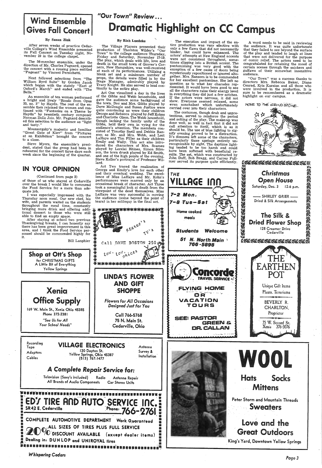# Wind Ensemble

#### By Suzan Zink

After seven weeks of practice Cedar-<br>ville College's Wind Ensemble presented<br>its Fall Concert on Tuesday night, No-<br>vember 29 in the college chapel.

The 56~member ensemble, under the direction of Mr. Charles Pagnard, opened the concert with a rousing piece entitled "Pageant" by Vincent Persichetti.

Next followed selections from "The William Byrd Suite" by Gordon Jacob which began with the stately "Earl of Oxford's March'' and ended with "The Bells."

 An ensemble of ten women performed a bright and lively "Rondo from Opus<br>33, no. 3" by Haydn. The rest of the ensemble then rejoined the women and con tinued with "Fantasies on a Theme by Haydn" by twentieth century composer Norman Dello Joio. Mr. Pagnard describ- ed this selection to the audience as "light and tasty."

The Village Players presented their production of Thornton Wilder's "Our Town" to the college audience Thursday, Friday and Saturday, November 17-19.<br>The play, which deals with life, love and death in the small town of Grover's Corners, New Hampshire, was well-received blank set and a minimum number of props, the details were filled in by the props, the details were filled in by the Stage Manager, admirably played by Tracy Knight. He also served to lend con-

Moussorgsky's majestic and familiar "Great Gate of Kiev" from "Pictures at an Exhibition" brought the concert to a close.

Steve Myers, the ensemble's presi-<br>dent, stated that the group had been in<br>rehearsal for the concert three days each<br>week since the beginning of the quarter.

### IN YOUR OPINION

(Continued from page 2)

of those of us who stayed at Cedarville over the break I would like to commend the Food Service for a more than adequate job.<br>I was especially impressed with the

Thursday noon meal. Our new chef, his wife, and parents waited on the students throughout the meal time, constantly<br>bringing more drink and offering addi-  $\ddot{x}$  \*\*\*\*

bringing more drink and offering addi-<br>
tional dessert to those who were still<br>
able to find an empty space.<br>
After staying at school two previous<br>
Thanksgiving breaks, I can honestly say<br>
there has been great improvement area, and I think the Food Service per-<br>sonnel should be commended highly for<br>it.

tinuity to the entire play.<br>Act One visualized a day in the lives of the Gibbs and Webb households, and gave the audience some background of the town. Doc and Mrs. Gibbs played by Dave McDougle and Susan Justice were quite convincing as were their children George and Rebecca played by Jeff Kohns<br>and Charlotte Olson. The Webb household,<br>though lacking the family unity of the<br>Gibbs, held their own in vying for the<br>audience's attention. The members consisted of Timothy Snell and Debbie Ransom as Mr. and Mrs. Webb, and Lori LaHaye and Tim Filler as their children Emily and Wally. This act also introduced the characters of Mrs. Soames played by Lorelei Rhines, Simon Stimson the town drunk played by Ed Smith, and one of the high points of the evening, Steve Keller's portrayal of Professor Wil- iard.

 Act Two traced the realization of George and Emily's love for each other and their eventual wedding. The excel-<br>lence of Miss LaHaye and Mr. Kohn's<br>performances were marred only by an<br>occasional break of character. Act Three took a meaningful look at death from the viewpoint of the dead themselves. Miss LaHaye was very successful in moving the audience (some beyond the point of tears) in her soliloquy in the final act.

\* \* \* \* \*

#### By Rich Luedeke

LINDA'S FLOWER AND GIFT **SHOPPE** 

Call DAVE BOSTON 250 (M)

low, comprices

COMPLETE AUTOMOTIVE DEPARTMENT Work Guaranteed <sub>V</sub>ALL SIZES OF TIRES PLUS FULL SERVICE<br>"O'DISCOUNT AVAILABLE (except dealer items) **E** Pealing in: DUNLOP and UNIROYAL fires \_ · .,:



 $\mathbf \Omega\, \mathbf R$ 

## WOOL Hats. Socks **Mittens**

The costumes, though drab and unpre-<br>tentious, served to reinforce the period and setting of the play. The make-up was done well, so well in fact that it did not call attention to itself, which is as it should be. The use of blue lighting to signify evening proved to be a distraction.<br>It's dimness left some of the characters, It's dimness left some of the characters of the characters particularly those upstage entirely un-<br>recognizable by sight. The daytime lighting tended to be too harsh and could have been softened with beneficial results. The set, which was constructed by John Duff, Bob Bragg, and Carrey Fullmer served its purpose quite efficiently.

> Homoc:ooked meals

\*<br>\*<br>\*<br>\*

A word needs to be said in reviewing<br>the audience. It was quite unfortunate the audience. It was quite unfortunate that they failed to see beyond the surface of the play and tended to laugh at lines that were not delivered for the purpose of comic relief. The actors need to be of comic relief. The actors need to be congratulated for retaining the mood of certain scenes through the snickers and guffaws of their somewhat insensitive audience.

 "Our Town" was a success thanks to directors Mrs. Rebecca Baker, Diane Cenrad Kris Karsian and all those who Conrad, Kris Karsian and all those who were involved in the production. It is sure to be remembered as a dramatic highlight on our campus.

NOSE TO THE GRIND STONE.

Bill Lanphier

## "Our Town" Review... Gives Fall Concert | Dramatic Highlight on CC Campus

Shop at Ott's Shop

for CHRISTMAS GIFTS A Little Bit of Everything Yellow Springs

**Xenia** 

Peter Storm and Mountain Threads **Sweaters** 

Office Supply

## Love and the Great Outdoors

King's Yard, Downtown Yellow Springs

**Whispering Cedars** 

169 W. Main St., Xenia Ohio 45385 Phone 372-2381 "See Us for All *Your School Needs"* 

*flowers for All Occasions Design~ Just for You* 

> Call 766-5768 75 N. Main St. Cedarville, Ohio

The execution and impact of the en-<br>tire production was very efective with<br>only a few flaws that did not necessarily hinder, but could have enhanced. The actors' attempts at New England accents times slipping into a British accent. The pantomiming was very good with the exception of a few cases of doors being mysteriously repositioned or ignored alto-<br>gether. Mrs. Ransom is to be commended for her excellent pantomime. She left no question as to what her charactes rep-<br>resented. It would have been good to see<br>all the characters raise their energy level<br>in everything they did just a few notches.<br>If the . actors were nervous, it did not<br>show. Everyone shows. Every seem nonchaliant which unfortunately carried over into their characters.

Recording

Survey & Installation

## A Complete Repair Service for:

Adaptors Cables

### Tape **VILLAGE ELECTRONICS** Antenna

120 Dayton St. YeHow Springs, Ohio 45387 (513) 767-1477

Television (Sony's included) Radio All 'Brands of Audio Components Antenna Repair Car Stereo Units

## w1uutw.1nn11111111u111r1n111111u111-a 11ir1: 1nn111111111111 w111111·11 •••a.n1 • • 11 ••• .. 8' • **tED:i-11RE RhtfAUl · '.SERVICE. me~ i** : SR4~ E. Cedarville . .Ph~ne: 766-2761 :. : ' . . . . . ill

THE

1-2 Mon.

7-8 Tue-Sat